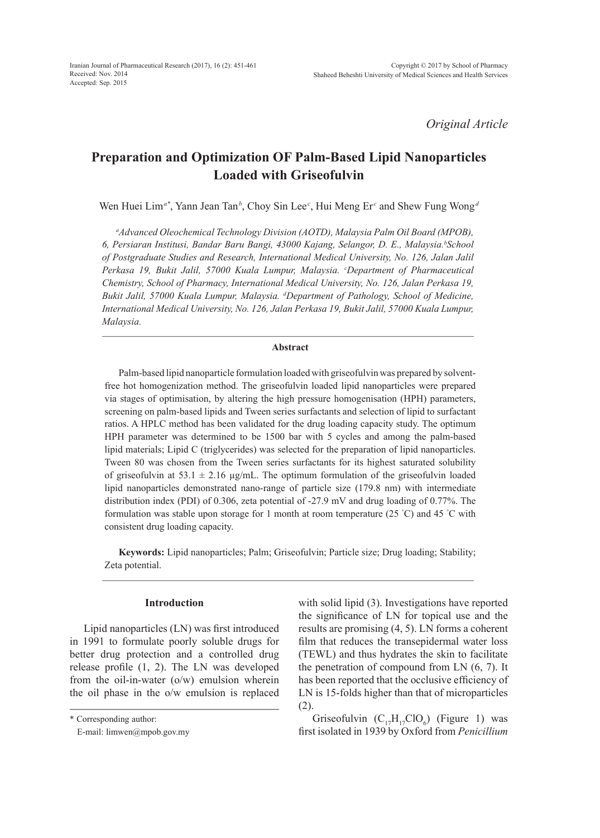*Original Article*

# **Preparation and Optimization OF Palm-Based Lipid Nanoparticles Loaded with Griseofulvin**

Wen Huei Lim<sup>a\*</sup>, Yann Jean Tan<sup>b</sup>, Choy Sin Lee<sup>c</sup>, Hui Meng Er<sup>c</sup> and Shew Fung Wong<sup>d</sup>

*a Advanced Oleochemical Technology Division (AOTD), Malaysia Palm Oil Board (MPOB),*  6, Persiaran Institusi, Bandar Baru Bangi, 43000 Kajang, Selangor, D. E., Malaysia.<sup>b</sup>School *of Postgraduate Studies and Research, International Medical University, No. 126, Jalan Jalil*  Perkasa 19, Bukit Jalil, 57000 Kuala Lumpur, Malaysia. <sup>c</sup>Department of Pharmaceutical *Chemistry, School of Pharmacy, International Medical University, No. 126, Jalan Perkasa 19, Bukit Jalil, 57000 Kuala Lumpur, Malaysia. d Department of Pathology, School of Medicine, International Medical University, No. 126, Jalan Perkasa 19, Bukit Jalil, 57000 Kuala Lumpur, Malaysia.*

### **Abstract**

Palm-based lipid nanoparticle formulation loaded with griseofulvin was prepared by solventfree hot homogenization method. The griseofulvin loaded lipid nanoparticles were prepared via stages of optimisation, by altering the high pressure homogenisation (HPH) parameters, screening on palm-based lipids and Tween series surfactants and selection of lipid to surfactant ratios. A HPLC method has been validated for the drug loading capacity study. The optimum HPH parameter was determined to be 1500 bar with 5 cycles and among the palm-based lipid materials; Lipid C (triglycerides) was selected for the preparation of lipid nanoparticles. Tween 80 was chosen from the Tween series surfactants for its highest saturated solubility of griseofulvin at 53.1  $\pm$  2.16 µg/mL. The optimum formulation of the griseofulvin loaded lipid nanoparticles demonstrated nano-range of particle size (179.8 nm) with intermediate distribution index (PDI) of 0.306, zeta potential of -27.9 mV and drug loading of 0.77%. The formulation was stable upon storage for 1 month at room temperature (25 °C) and 45 °C with consistent drug loading capacity.

**Keywords:** Lipid nanoparticles; Palm; Griseofulvin; Particle size; Drug loading; Stability; Zeta potential.

#### **Introduction**

Lipid nanoparticles (LN) was first introduced in 1991 to formulate poorly soluble drugs for better drug protection and a controlled drug release profile (1, 2). The LN was developed from the oil-in-water (o/w) emulsion wherein the oil phase in the o/w emulsion is replaced

\* Corresponding author:

with solid lipid (3). Investigations have reported the significance of LN for topical use and the results are promising (4, 5). LN forms a coherent film that reduces the transepidermal water loss (TEWL) and thus hydrates the skin to facilitate the penetration of compound from LN (6, 7). It has been reported that the occlusive efficiency of LN is 15-folds higher than that of microparticles (2).

Griseofulvin  $(C_{17}H_{17}ClO_6)$  (Figure 1) was first isolated in 1939 by Oxford from *Penicillium* 

E-mail: limwen@mpob.gov.my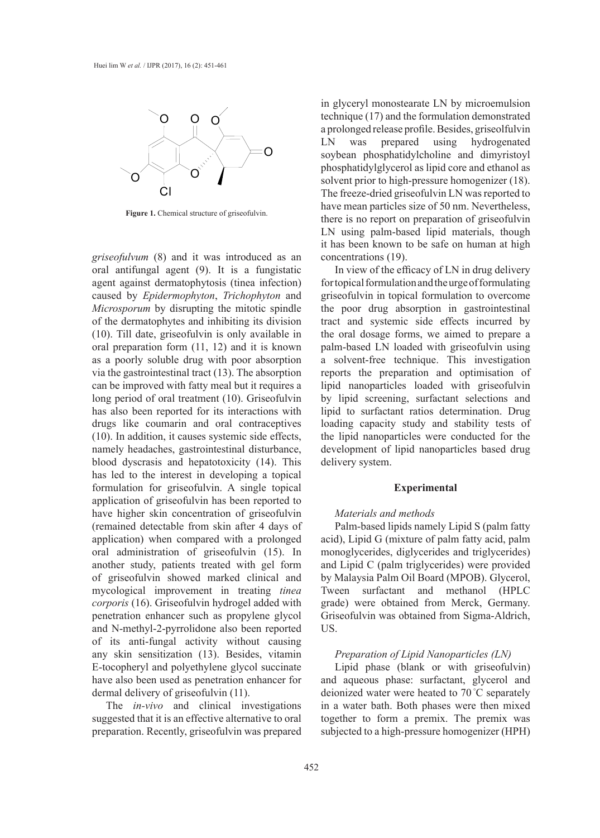

**Figure 1.** Chemical structure of griseofulvin.

*griseofulvum* (8) and it was introduced as an oral antifungal agent (9). It is a fungistatic agent against dermatophytosis (tinea infection) caused by *Epidermophyton*, *Trichophyton* and *Microsporum* by disrupting the mitotic spindle of the dermatophytes and inhibiting its division (10). Till date, griseofulvin is only available in oral preparation form (11, 12) and it is known as a poorly soluble drug with poor absorption via the gastrointestinal tract (13). The absorption can be improved with fatty meal but it requires a long period of oral treatment (10). Griseofulvin has also been reported for its interactions with drugs like coumarin and oral contraceptives (10). In addition, it causes systemic side effects, namely headaches, gastrointestinal disturbance, blood dyscrasis and hepatotoxicity (14). This has led to the interest in developing a topical formulation for griseofulvin. A single topical application of griseofulvin has been reported to have higher skin concentration of griseofulvin (remained detectable from skin after 4 days of application) when compared with a prolonged oral administration of griseofulvin (15). In another study, patients treated with gel form of griseofulvin showed marked clinical and mycological improvement in treating *tinea corporis* (16). Griseofulvin hydrogel added with penetration enhancer such as propylene glycol and N-methyl-2-pyrrolidone also been reported of its anti-fungal activity without causing any skin sensitization (13). Besides, vitamin E-tocopheryl and polyethylene glycol succinate have also been used as penetration enhancer for dermal delivery of griseofulvin (11).

The *in-vivo* and clinical investigations suggested that it is an effective alternative to oral preparation. Recently, griseofulvin was prepared in glyceryl monostearate LN by microemulsion technique (17) and the formulation demonstrated a prolonged release profile. Besides, griseolfulvin LN was prepared using hydrogenated soybean phosphatidylcholine and dimyristoyl phosphatidylglycerol as lipid core and ethanol as solvent prior to high-pressure homogenizer (18). The freeze-dried griseofulvin LN was reported to have mean particles size of 50 nm. Nevertheless, there is no report on preparation of griseofulvin LN using palm-based lipid materials, though it has been known to be safe on human at high concentrations (19).

In view of the efficacy of LN in drug delivery for topical formulation and the urge of formulating griseofulvin in topical formulation to overcome the poor drug absorption in gastrointestinal tract and systemic side effects incurred by the oral dosage forms, we aimed to prepare a palm-based LN loaded with griseofulvin using a solvent-free technique. This investigation reports the preparation and optimisation of lipid nanoparticles loaded with griseofulvin by lipid screening, surfactant selections and lipid to surfactant ratios determination. Drug loading capacity study and stability tests of the lipid nanoparticles were conducted for the development of lipid nanoparticles based drug delivery system.

#### **Experimental**

# *Materials and methods*

Palm-based lipids namely Lipid S (palm fatty acid), Lipid G (mixture of palm fatty acid, palm monoglycerides, diglycerides and triglycerides) and Lipid C (palm triglycerides) were provided by Malaysia Palm Oil Board (MPOB). Glycerol, Tween surfactant and methanol (HPLC grade) were obtained from Merck, Germany. Griseofulvin was obtained from Sigma-Aldrich, US.

#### *Preparation of Lipid Nanoparticles (LN)*

Lipid phase (blank or with griseofulvin) and aqueous phase: surfactant, glycerol and deionized water were heated to 70 °C separately in a water bath. Both phases were then mixed together to form a premix. The premix was subjected to a high-pressure homogenizer (HPH)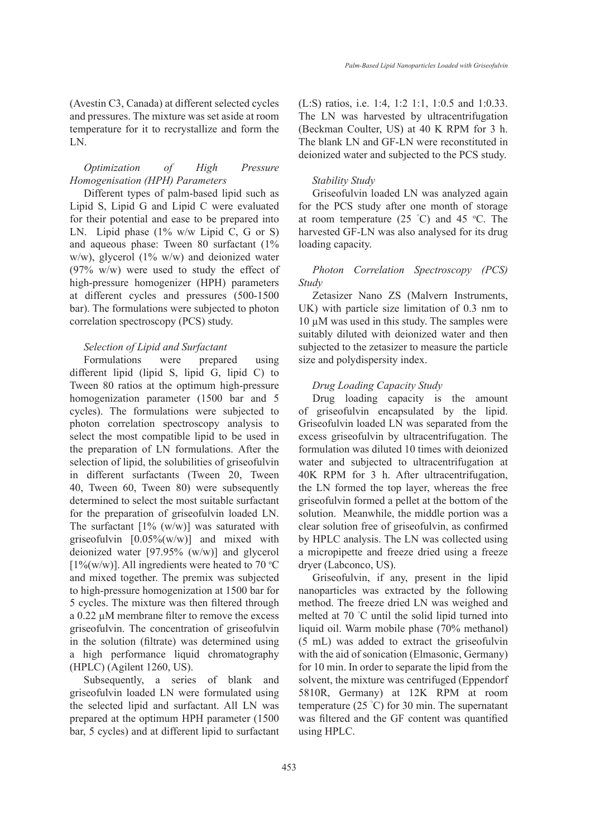(Avestin C3, Canada) at different selected cycles and pressures. The mixture was set aside at room temperature for it to recrystallize and form the LN.

# *Optimization of High Pressure Homogenisation (HPH) Parameters*

Different types of palm-based lipid such as Lipid S, Lipid G and Lipid C were evaluated for their potential and ease to be prepared into LN. Lipid phase  $(1\%$  w/w Lipid C, G or S) and aqueous phase: Tween 80 surfactant (1% w/w), glycerol (1% w/w) and deionized water  $(97\% \t w/w)$  were used to study the effect of high-pressure homogenizer (HPH) parameters at different cycles and pressures (500-1500 bar). The formulations were subjected to photon correlation spectroscopy (PCS) study.

## *Selection of Lipid and Surfactant*

Formulations were prepared using different lipid (lipid S, lipid G, lipid C) to Tween 80 ratios at the optimum high-pressure homogenization parameter (1500 bar and 5 cycles). The formulations were subjected to photon correlation spectroscopy analysis to select the most compatible lipid to be used in the preparation of LN formulations. After the selection of lipid, the solubilities of griseofulvin in different surfactants (Tween 20, Tween 40, Tween 60, Tween 80) were subsequently determined to select the most suitable surfactant for the preparation of griseofulvin loaded LN. The surfactant  $[1\% (w/w)]$  was saturated with griseofulvin  $[0.05\%(w/w)]$  and mixed with deionized water [97.95% (w/w)] and glycerol [ $1\%$ (w/w)]. All ingredients were heated to 70 °C and mixed together. The premix was subjected to high-pressure homogenization at 1500 bar for 5 cycles. The mixture was then filtered through a 0.22 µM membrane filter to remove the excess griseofulvin. The concentration of griseofulvin in the solution (filtrate) was determined using a high performance liquid chromatography (HPLC) (Agilent 1260, US).

Subsequently, a series of blank and griseofulvin loaded LN were formulated using the selected lipid and surfactant. All LN was prepared at the optimum HPH parameter (1500 bar, 5 cycles) and at different lipid to surfactant (L:S) ratios, i.e. 1:4, 1:2 1:1, 1:0.5 and 1:0.33. The LN was harvested by ultracentrifugation (Beckman Coulter, US) at 40 K RPM for 3 h. The blank LN and GF-LN were reconstituted in deionized water and subjected to the PCS study.

#### *Stability Study*

Griseofulvin loaded LN was analyzed again for the PCS study after one month of storage at room temperature  $(25 \text{ °C})$  and 45  $\text{ °C}$ . The harvested GF-LN was also analysed for its drug loading capacity.

## *Photon Correlation Spectroscopy (PCS) Study*

Zetasizer Nano ZS (Malvern Instruments, UK) with particle size limitation of 0.3 nm to  $10 \mu$ M was used in this study. The samples were suitably diluted with deionized water and then subjected to the zetasizer to measure the particle size and polydispersity index.

#### *Drug Loading Capacity Study*

Drug loading capacity is the amount of griseofulvin encapsulated by the lipid. Griseofulvin loaded LN was separated from the excess griseofulvin by ultracentrifugation. The formulation was diluted 10 times with deionized water and subjected to ultracentrifugation at 40K RPM for 3 h. After ultracentrifugation, the LN formed the top layer, whereas the free griseofulvin formed a pellet at the bottom of the solution. Meanwhile, the middle portion was a clear solution free of griseofulvin, as confirmed by HPLC analysis. The LN was collected using a micropipette and freeze dried using a freeze dryer (Labconco, US).

Griseofulvin, if any, present in the lipid nanoparticles was extracted by the following method. The freeze dried LN was weighed and melted at 70 ° C until the solid lipid turned into liquid oil. Warm mobile phase (70% methanol) (5 mL) was added to extract the griseofulvin with the aid of sonication (Elmasonic, Germany) for 10 min. In order to separate the lipid from the solvent, the mixture was centrifuged (Eppendorf 5810R, Germany) at 12K RPM at room temperature (25 ° C) for 30 min. The supernatant was filtered and the GF content was quantified using HPLC.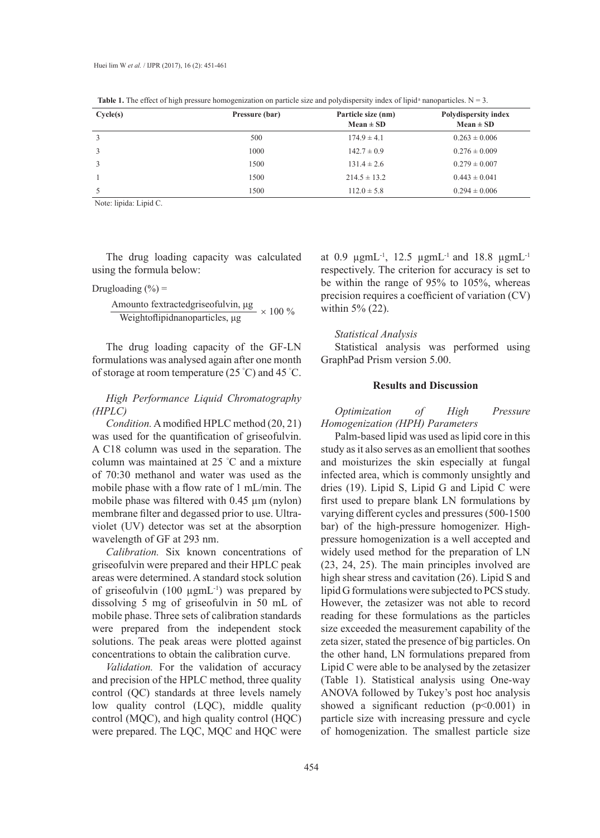| Cycle(s) | Pressure (bar) | Particle size (nm)<br>$Mean \pm SD$ | <b>Polydispersity index</b><br>$Mean \pm SD$ |  |  |
|----------|----------------|-------------------------------------|----------------------------------------------|--|--|
|          | 500            | $174.9 \pm 4.1$                     | $0.263 \pm 0.006$                            |  |  |
|          | 1000           | $142.7 \pm 0.9$                     | $0.276 \pm 0.009$                            |  |  |
|          | 1500           | $131.4 \pm 2.6$                     | $0.279 \pm 0.007$                            |  |  |
|          | 1500           | $214.5 \pm 13.2$                    | $0.443 \pm 0.041$                            |  |  |
|          | 1500           | $112.0 \pm 5.8$                     | $0.294 \pm 0.006$                            |  |  |

**Table 1.** The effect of high pressure homogenization on particle size and polydispersity index of lipid<sup>a</sup> nanoparticles.  $N = 3$ .

Note: lipida: Lipid C.

The drug loading capacity was calculated using the formula below:

Drugloading  $(\% )$  =

Amounto fextractedgriseofulvin, 
$$
\mu
$$
g  
\nWeightoffipidanoparticles,  $\mu$  × 100 %

The drug loading capacity of the GF-LN formulations was analysed again after one month of storage at room temperature (25 ° C) and 45 ° C.

# *High Performance Liquid Chromatography (HPLC)*

*Condition.* A modified HPLC method (20, 21) was used for the quantification of griseofulvin. A C18 column was used in the separation. The column was maintained at 25 ° C and a mixture of 70:30 methanol and water was used as the mobile phase with a flow rate of 1 mL/min. The mobile phase was filtered with 0.45 µm (nylon) membrane filter and degassed prior to use. Ultraviolet (UV) detector was set at the absorption wavelength of GF at 293 nm.

*Calibration.* Six known concentrations of griseofulvin were prepared and their HPLC peak areas were determined. A standard stock solution of griseofulvin (100 µgmL-1) was prepared by dissolving 5 mg of griseofulvin in 50 mL of mobile phase. Three sets of calibration standards were prepared from the independent stock solutions. The peak areas were plotted against concentrations to obtain the calibration curve.

*Validation.* For the validation of accuracy and precision of the HPLC method, three quality control (QC) standards at three levels namely low quality control (LQC), middle quality control (MQC), and high quality control (HQC) were prepared. The LQC, MQC and HQC were

at 0.9  $\mu$ gmL<sup>-1</sup>, 12.5  $\mu$ gmL<sup>-1</sup> and 18.8  $\mu$ gmL<sup>-1</sup> respectively. The criterion for accuracy is set to be within the range of 95% to 105%, whereas precision requires a coefficient of variation (CV) within 5% (22).

#### *Statistical Analysis*

Statistical analysis was performed using GraphPad Prism version 5.00.

#### **Results and Discussion**

*Optimization of High Pressure Homogenization (HPH) Parameters*

Palm-based lipid was used as lipid core in this study as it also serves as an emollient that soothes and moisturizes the skin especially at fungal infected area, which is commonly unsightly and dries (19). Lipid S, Lipid G and Lipid C were first used to prepare blank LN formulations by varying different cycles and pressures (500-1500 bar) of the high-pressure homogenizer. Highpressure homogenization is a well accepted and widely used method for the preparation of LN (23, 24, 25). The main principles involved are high shear stress and cavitation (26). Lipid S and lipid G formulations were subjected to PCS study. However, the zetasizer was not able to record reading for these formulations as the particles size exceeded the measurement capability of the zeta sizer, stated the presence of big particles. On the other hand, LN formulations prepared from Lipid C were able to be analysed by the zetasizer (Table 1). Statistical analysis using One-way ANOVA followed by Tukey's post hoc analysis showed a significant reduction  $(p<0.001)$  in particle size with increasing pressure and cycle of homogenization. The smallest particle size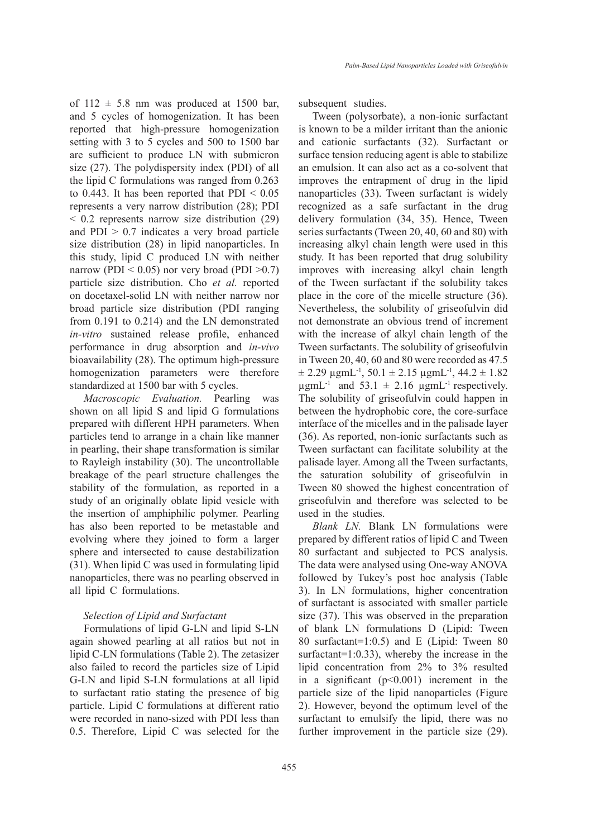of  $112 \pm 5.8$  nm was produced at 1500 bar, and 5 cycles of homogenization. It has been reported that high-pressure homogenization setting with 3 to 5 cycles and 500 to 1500 bar are sufficient to produce LN with submicron size (27). The polydispersity index (PDI) of all the lipid C formulations was ranged from 0.263 to  $0.443$ . It has been reported that PDI  $\leq 0.05$ represents a very narrow distribution (28); PDI < 0.2 represents narrow size distribution (29) and  $PDI > 0.7$  indicates a very broad particle size distribution (28) in lipid nanoparticles. In this study, lipid C produced LN with neither narrow (PDI  $< 0.05$ ) nor very broad (PDI  $> 0.7$ ) particle size distribution. Cho *et al.* reported on docetaxel-solid LN with neither narrow nor broad particle size distribution (PDI ranging from 0.191 to 0.214) and the LN demonstrated *in-vitro* sustained release profile, enhanced performance in drug absorption and *in-vivo*  bioavailability (28). The optimum high-pressure homogenization parameters were therefore standardized at 1500 bar with 5 cycles.

*Macroscopic Evaluation.* Pearling was shown on all lipid S and lipid G formulations prepared with different HPH parameters. When particles tend to arrange in a chain like manner in pearling, their shape transformation is similar to Rayleigh instability (30). The uncontrollable breakage of the pearl structure challenges the stability of the formulation, as reported in a study of an originally oblate lipid vesicle with the insertion of amphiphilic polymer. Pearling has also been reported to be metastable and evolving where they joined to form a larger sphere and intersected to cause destabilization (31). When lipid C was used in formulating lipid nanoparticles, there was no pearling observed in all lipid C formulations.

#### *Selection of Lipid and Surfactant*

Formulations of lipid G-LN and lipid S-LN again showed pearling at all ratios but not in lipid C-LN formulations (Table 2). The zetasizer also failed to record the particles size of Lipid G-LN and lipid S-LN formulations at all lipid to surfactant ratio stating the presence of big particle. Lipid C formulations at different ratio were recorded in nano-sized with PDI less than 0.5. Therefore, Lipid C was selected for the subsequent studies.

Tween (polysorbate), a non-ionic surfactant is known to be a milder irritant than the anionic and cationic surfactants (32). Surfactant or surface tension reducing agent is able to stabilize an emulsion. It can also act as a co-solvent that improves the entrapment of drug in the lipid nanoparticles (33). Tween surfactant is widely recognized as a safe surfactant in the drug delivery formulation (34, 35). Hence, Tween series surfactants (Tween 20, 40, 60 and 80) with increasing alkyl chain length were used in this study. It has been reported that drug solubility improves with increasing alkyl chain length of the Tween surfactant if the solubility takes place in the core of the micelle structure (36). Nevertheless, the solubility of griseofulvin did not demonstrate an obvious trend of increment with the increase of alkyl chain length of the Tween surfactants. The solubility of griseofulvin in Tween 20, 40, 60 and 80 were recorded as 47.5  $\pm$  2.29  $\mu$ gmL<sup>-1</sup>, 50.1  $\pm$  2.15  $\mu$ gmL<sup>-1</sup>, 44.2  $\pm$  1.82  $\mu$ gmL<sup>-1</sup> and 53.1  $\pm$  2.16  $\mu$ gmL<sup>-1</sup> respectively. The solubility of griseofulvin could happen in between the hydrophobic core, the core-surface interface of the micelles and in the palisade layer (36). As reported, non-ionic surfactants such as Tween surfactant can facilitate solubility at the palisade layer. Among all the Tween surfactants, the saturation solubility of griseofulvin in Tween 80 showed the highest concentration of griseofulvin and therefore was selected to be used in the studies.

*Blank LN.* Blank LN formulations were prepared by different ratios of lipid C and Tween 80 surfactant and subjected to PCS analysis. The data were analysed using One-way ANOVA followed by Tukey's post hoc analysis (Table 3). In LN formulations, higher concentration of surfactant is associated with smaller particle size (37). This was observed in the preparation of blank LN formulations D (Lipid: Tween 80 surfactant=1:0.5) and E (Lipid: Tween 80 surfactant=1:0.33), whereby the increase in the lipid concentration from 2% to 3% resulted in a significant  $(p<0.001)$  increment in the particle size of the lipid nanoparticles (Figure 2). However, beyond the optimum level of the surfactant to emulsify the lipid, there was no further improvement in the particle size (29).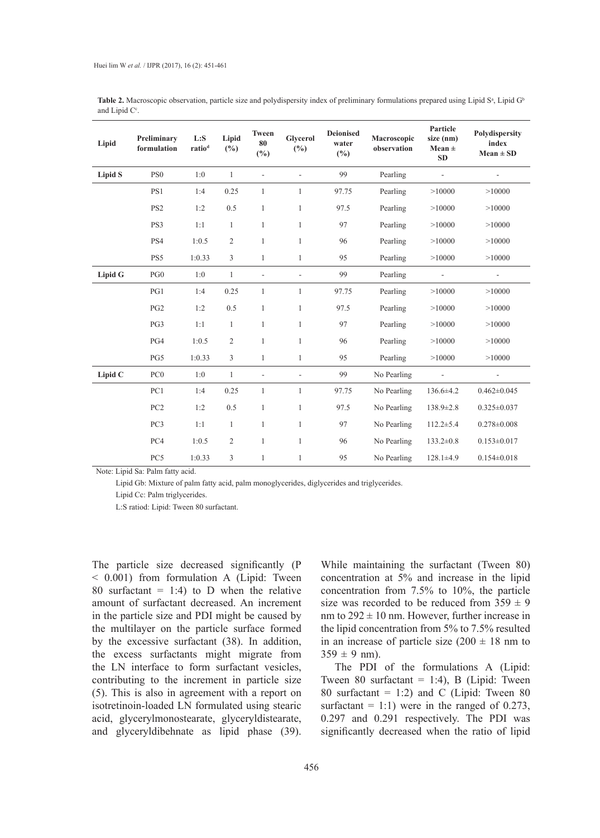| Lipid          | Preliminary<br>formulation | L: S<br>ratio <sup>d</sup> | Lipid<br>$(\%)$ | Tween<br>80<br>$(\%)$    | <b>Glycerol</b><br>$(\%)$ | <b>Deionised</b><br>water<br>(%) | Macroscopic<br>observation | Particle<br>size (nm)<br>Mean $\pm$<br><b>SD</b> | Polydispersity<br>index<br>$Mean \pm SD$ |
|----------------|----------------------------|----------------------------|-----------------|--------------------------|---------------------------|----------------------------------|----------------------------|--------------------------------------------------|------------------------------------------|
| <b>Lipid S</b> | PS <sub>0</sub>            | 1:0                        | $\mathbf{1}$    | ٠                        |                           | 99                               | Pearling                   |                                                  |                                          |
|                | PS1                        | 1:4                        | 0.25            | $\mathbf{1}$             | 1                         | 97.75                            | Pearling                   | >10000                                           | >10000                                   |
|                | PS <sub>2</sub>            | 1:2                        | 0.5             | $\mathbf{1}$             | $\mathbf{1}$              | 97.5                             | Pearling                   | >10000                                           | >10000                                   |
|                | PS3                        | 1:1                        | $\mathbf{1}$    | $\mathbf{1}$             | $\mathbf{1}$              | 97                               | Pearling                   | >10000                                           | >10000                                   |
|                | PS4                        | 1:0.5                      | $\sqrt{2}$      | $\mathbf{1}$             | $\mathbf{1}$              | 96                               | Pearling                   | >10000                                           | >10000                                   |
|                | PS5                        | 1:0.33                     | 3               | $\mathbf{1}$             | $\mathbf{1}$              | 95                               | Pearling                   | >10000                                           | >10000                                   |
| Lipid G        | PG <sub>0</sub>            | 1:0                        | $\mathbf{1}$    | $\overline{\phantom{a}}$ | $\overline{\phantom{0}}$  | 99                               | Pearling                   |                                                  | $\overline{\phantom{a}}$                 |
|                | PG1                        | 1:4                        | 0.25            | $\mathbf{1}$             | 1                         | 97.75                            | Pearling                   | >10000                                           | >10000                                   |
|                | PG <sub>2</sub>            | 1:2                        | 0.5             | $\mathbf{1}$             | $\mathbf{1}$              | 97.5                             | Pearling                   | >10000                                           | >10000                                   |
|                | PG3                        | 1:1                        | $\mathbf{1}$    | $\mathbf{1}$             | $\mathbf{1}$              | 97                               | Pearling                   | >10000                                           | >10000                                   |
|                | PG4                        | 1:0.5                      | $\sqrt{2}$      | $\mathbf{1}$             | $\mathbf{1}$              | 96                               | Pearling                   | >10000                                           | >10000                                   |
|                | PG5                        | 1:0.33                     | $\overline{3}$  | $\mathbf{1}$             | $\mathbf{1}$              | 95                               | Pearling                   | >10000                                           | >10000                                   |
| Lipid C        | PC <sub>0</sub>            | 1:0                        | $\mathbf{1}$    | $\overline{\phantom{m}}$ | L,                        | 99                               | No Pearling                |                                                  |                                          |
|                | PC1                        | 1:4                        | 0.25            | $\mathbf{1}$             | 1                         | 97.75                            | No Pearling                | 136.6±4.2                                        | $0.462 \pm 0.045$                        |
|                | PC <sub>2</sub>            | 1:2                        | 0.5             | $\mathbf{1}$             | $\mathbf{1}$              | 97.5                             | No Pearling                | $138.9 \pm 2.8$                                  | $0.325 \pm 0.037$                        |
|                | PC <sub>3</sub>            | 1:1                        | $\mathbf{1}$    | $\mathbf{1}$             | $\mathbf{1}$              | 97                               | No Pearling                | $112.2 \pm 5.4$                                  | $0.278 \pm 0.008$                        |
|                | PC4                        | 1:0.5                      | $\overline{c}$  | $\mathbf{1}$             | $\mathbf{1}$              | 96                               | No Pearling                | $133.2 \pm 0.8$                                  | $0.153 \pm 0.017$                        |
|                | PC5                        | 1:0.33                     | 3               | 1                        | 1                         | 95                               | No Pearling                | $128.1 \pm 4.9$                                  | $0.154 \pm 0.018$                        |

Table 2. Macroscopic observation, particle size and polydispersity index of preliminary formulations prepared using Lipid S<sup>a</sup>, Lipid G<sup>b</sup> and Lipid  $C^c$ .

Note: Lipid Sa: Palm fatty acid.

Lipid Gb: Mixture of palm fatty acid, palm monoglycerides, diglycerides and triglycerides.

Lipid Cc: Palm triglycerides.

L:S ratiod: Lipid: Tween 80 surfactant.

The particle size decreased significantly (P < 0.001) from formulation A (Lipid: Tween 80 surfactant = 1:4) to D when the relative amount of surfactant decreased. An increment in the particle size and PDI might be caused by the multilayer on the particle surface formed by the excessive surfactant (38). In addition, the excess surfactants might migrate from the LN interface to form surfactant vesicles, contributing to the increment in particle size (5). This is also in agreement with a report on isotretinoin-loaded LN formulated using stearic acid, glycerylmonostearate, glyceryldistearate, and glyceryldibehnate as lipid phase (39).

While maintaining the surfactant (Tween 80) concentration at 5% and increase in the lipid concentration from 7.5% to 10%, the particle size was recorded to be reduced from  $359 \pm 9$ nm to  $292 \pm 10$  nm. However, further increase in the lipid concentration from 5% to 7.5% resulted in an increase of particle size  $(200 \pm 18 \text{ nm})$  to  $359 \pm 9$  nm).

The PDI of the formulations A (Lipid: Tween 80 surfactant = 1:4), B (Lipid: Tween 80 surfactant = 1:2) and C (Lipid: Tween 80 surfactant  $= 1:1$ ) were in the ranged of 0.273, 0.297 and 0.291 respectively. The PDI was significantly decreased when the ratio of lipid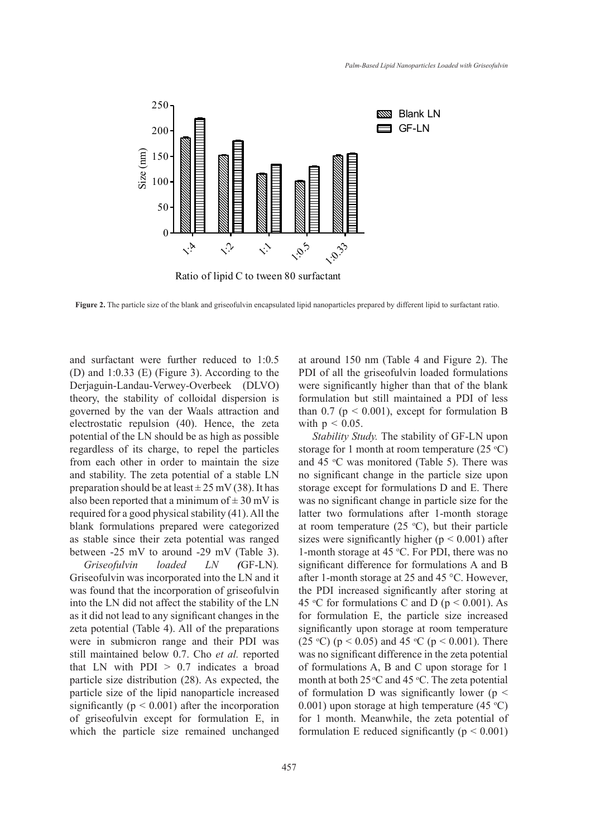

Ratio of lipid C to tween 80 surfactant

**Figure 2.** The particle size of the blank and griseofulvin encapsulated lipid nanoparticles prepared by different lipid to surfactant ratio.

and surfactant were further reduced to 1:0.5 (D) and 1:0.33 (E) (Figure 3). According to the Derjaguin-Landau-Verwey-Overbeek (DLVO) theory, the stability of colloidal dispersion is governed by the van der Waals attraction and electrostatic repulsion (40). Hence, the zeta potential of the LN should be as high as possible regardless of its charge, to repel the particles from each other in order to maintain the size and stability. The zeta potential of a stable LN preparation should be at least  $\pm$  25 mV (38). It has also been reported that a minimum of  $\pm$  30 mV is required for a good physical stability (41). All the blank formulations prepared were categorized as stable since their zeta potential was ranged between -25 mV to around -29 mV (Table 3).

*Griseofulvin loaded LN (*GF-LN)*.*  Griseofulvin was incorporated into the LN and it was found that the incorporation of griseofulvin into the LN did not affect the stability of the LN as it did not lead to any significant changes in the zeta potential (Table 4). All of the preparations were in submicron range and their PDI was still maintained below 0.7. Cho *et al.* reported that LN with  $PDI > 0.7$  indicates a broad particle size distribution (28). As expected, the particle size of the lipid nanoparticle increased significantly ( $p < 0.001$ ) after the incorporation of griseofulvin except for formulation E, in which the particle size remained unchanged at around 150 nm (Table 4 and Figure 2). The PDI of all the griseofulvin loaded formulations were significantly higher than that of the blank formulation but still maintained a PDI of less than  $0.7$  ( $p < 0.001$ ), except for formulation B with  $p < 0.05$ .

*Stability Study.* The stability of GF-LN upon storage for 1 month at room temperature  $(25 \text{ °C})$ and 45  $\degree$ C was monitored (Table 5). There was no significant change in the particle size upon storage except for formulations D and E. There was no significant change in particle size for the latter two formulations after 1-month storage at room temperature  $(25 \text{ °C})$ , but their particle sizes were significantly higher ( $p < 0.001$ ) after 1-month storage at 45  $\degree$ C. For PDI, there was no significant difference for formulations A and B after 1-month storage at 25 and 45 °C. However, the PDI increased significantly after storing at 45 °C for formulations C and D ( $p < 0.001$ ). As for formulation E, the particle size increased significantly upon storage at room temperature (25 °C) ( $p < 0.05$ ) and 45 °C ( $p < 0.001$ ). There was no significant difference in the zeta potential of formulations A, B and C upon storage for 1 month at both  $25^{\circ}$ C and  $45^{\circ}$ C. The zeta potential of formulation D was significantly lower ( $p \leq$ 0.001) upon storage at high temperature  $(45 °C)$ for 1 month. Meanwhile, the zeta potential of formulation E reduced significantly ( $p < 0.001$ )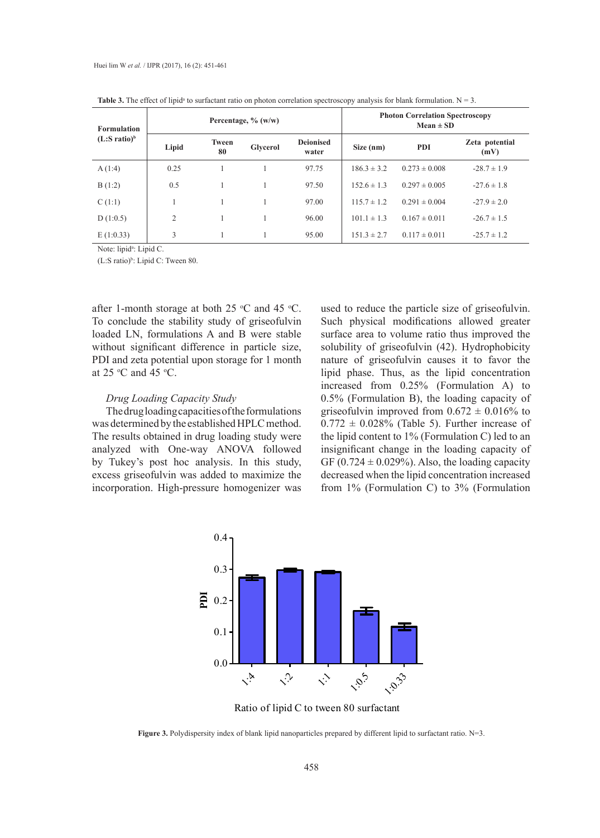| <b>Formulation</b><br>$(L: S ratio)^b$ |       |                    | Percentage, $\%$ (w/w) |                           | <b>Photon Correlation Spectroscopy</b><br>$Mean \pm SD$ |                   |                        |  |
|----------------------------------------|-------|--------------------|------------------------|---------------------------|---------------------------------------------------------|-------------------|------------------------|--|
|                                        | Lipid | <b>Tween</b><br>80 | Glycerol               | <b>Deionised</b><br>water | Size (nm)                                               | <b>PDI</b>        | Zeta potential<br>(mV) |  |
| A(1:4)                                 | 0.25  |                    |                        | 97.75                     | $186.3 \pm 3.2$                                         | $0.273 \pm 0.008$ | $-28.7 \pm 1.9$        |  |
| B(1:2)                                 | 0.5   |                    |                        | 97.50                     | $152.6 \pm 1.3$                                         | $0.297 \pm 0.005$ | $-27.6 \pm 1.8$        |  |
| C(1:1)                                 |       |                    |                        | 97.00                     | $115.7 \pm 1.2$                                         | $0.291 \pm 0.004$ | $-27.9 \pm 2.0$        |  |
| D(1:0.5)                               | 2     |                    |                        | 96.00                     | $101.1 \pm 1.3$                                         | $0.167 \pm 0.011$ | $-26.7 \pm 1.5$        |  |
| E(1:0.33)                              | 3     |                    |                        | 95.00                     | $151.3 \pm 2.7$                                         | $0.117 \pm 0.011$ | $-25.7 \pm 1.2$        |  |

**Table 3.** The effect of lipid<sup>a</sup> to surfactant ratio on photon correlation spectroscopy analysis for blank formulation.  $N = 3$ .

Note: lipid<sup>a</sup>: Lipid C.

 $(L: S ratio)<sup>b</sup>$ : Lipid C: Tween 80.

after 1-month storage at both 25  $\degree$ C and 45  $\degree$ C. To conclude the stability study of griseofulvin loaded LN, formulations A and B were stable without significant difference in particle size, PDI and zeta potential upon storage for 1 month at  $25 \text{ °C}$  and  $45 \text{ °C}$ .

#### *Drug Loading Capacity Study*

The drug loading capacities of the formulations was determined by the established HPLC method. The results obtained in drug loading study were analyzed with One-way ANOVA followed by Tukey's post hoc analysis. In this study, excess griseofulvin was added to maximize the incorporation. High-pressure homogenizer was

used to reduce the particle size of griseofulvin. Such physical modifications allowed greater surface area to volume ratio thus improved the solubility of griseofulvin (42). Hydrophobicity nature of griseofulvin causes it to favor the lipid phase. Thus, as the lipid concentration increased from 0.25% (Formulation A) to 0.5% (Formulation B), the loading capacity of griseofulvin improved from  $0.672 \pm 0.016\%$  to  $0.772 \pm 0.028\%$  (Table 5). Further increase of the lipid content to 1% (Formulation C) led to an insignificant change in the loading capacity of GF ( $0.724 \pm 0.029\%$ ). Also, the loading capacity decreased when the lipid concentration increased from 1% (Formulation C) to 3% (Formulation



Ratio of lipid C to tween 80 surfactant

**Figure 3.** Polydispersity index of blank lipid nanoparticles prepared by different lipid to surfactant ratio. N=3.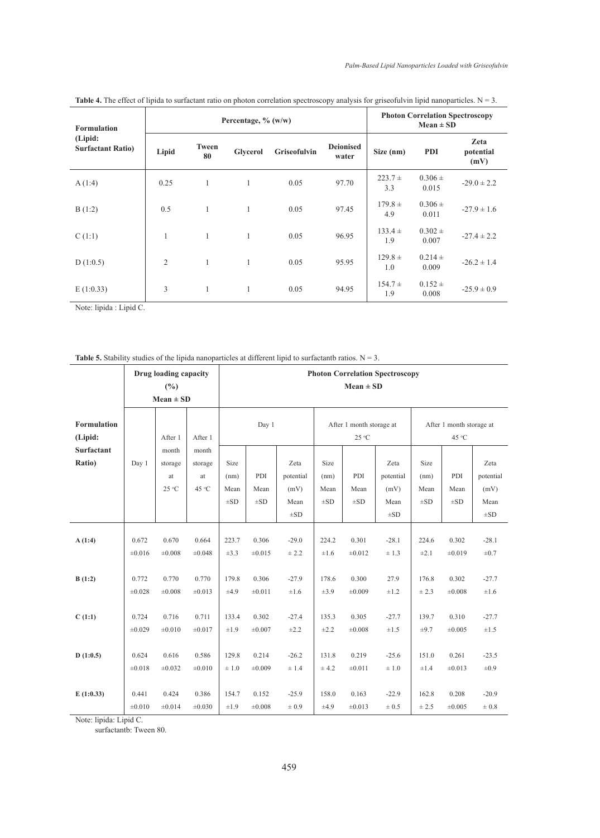| Formulation<br>(Lipid:<br><b>Surfactant Ratio)</b> |                |                    | Percentage, $\%$ (w/w) | <b>Photon Correlation Spectroscopy</b><br>$Mean \pm SD$ |                           |                    |                      |                           |
|----------------------------------------------------|----------------|--------------------|------------------------|---------------------------------------------------------|---------------------------|--------------------|----------------------|---------------------------|
|                                                    | Lipid          | <b>Tween</b><br>80 | Glycerol               | <b>Griseofulvin</b>                                     | <b>Deionised</b><br>water | Size (nm)          | <b>PDI</b>           | Zeta<br>potential<br>(mV) |
| A(1:4)                                             | 0.25           | $\mathbf{1}$       | 1                      | 0.05                                                    | 97.70                     | $223.7 +$<br>3.3   | $0.306 \pm$<br>0.015 | $-29.0 \pm 2.2$           |
| B(1:2)                                             | 0.5            | 1                  | 1                      | 0.05                                                    | 97.45                     | $179.8 +$<br>4.9   | $0.306 \pm$<br>0.011 | $-27.9 \pm 1.6$           |
| C(1:1)                                             | 1              | 1                  | 1                      | 0.05                                                    | 96.95                     | $133.4 \pm$<br>1.9 | $0.302 \pm$<br>0.007 | $-27.4 \pm 2.2$           |
| D(1:0.5)                                           | $\overline{2}$ | 1                  | 1                      | 0.05                                                    | 95.95                     | $129.8 +$<br>1.0   | $0.214 \pm$<br>0.009 | $-26.2 \pm 1.4$           |
| E(1:0.33)                                          | 3              | 1                  | 1                      | 0.05                                                    | 94.95                     | $154.7 \pm$<br>1.9 | $0.152 \pm$<br>0.008 | $-25.9 \pm 0.9$           |

Table 4. The effect of lipida to surfactant ratio on photon correlation spectroscopy analysis for griseofulvin lipid nanoparticles. N = 3.

Note: lipida : Lipid C.

|                               |        | Drug loading capacity<br>(%)<br>$Mean \pm SD$ |                  |                          |                         |                                       | <b>Photon Correlation Spectroscopy</b><br>$Mean \pm SD$ |                         |                                       |                                   |                  |                                       |  |
|-------------------------------|--------|-----------------------------------------------|------------------|--------------------------|-------------------------|---------------------------------------|---------------------------------------------------------|-------------------------|---------------------------------------|-----------------------------------|------------------|---------------------------------------|--|
| <b>Formulation</b><br>(Lipid: |        | After 1                                       | After 1          | Day 1                    |                         |                                       | After 1 month storage at<br>25 °C                       |                         |                                       | After 1 month storage at<br>45 °C |                  |                                       |  |
| <b>Surfactant</b><br>Ratio)   | Day 1  | month<br>storage                              | month<br>storage | Size                     |                         | Zeta                                  | Size                                                    |                         | Zeta                                  | Size                              | PDI              | Zeta                                  |  |
|                               |        | at<br>25 °C                                   | at<br>45 °C      | (nm)<br>Mean<br>$\pm$ SD | PDI<br>Mean<br>$\pm SD$ | potential<br>(mV)<br>Mean<br>$\pm$ SD | (nm)<br>Mean<br>$\pm$ SD                                | PDI<br>Mean<br>$\pm SD$ | potential<br>(mV)<br>Mean<br>$\pm SD$ | (nm)<br>Mean<br>$\pm SD$          | Mean<br>$\pm SD$ | potential<br>(mV)<br>Mean<br>$\pm SD$ |  |
| A(1:4)                        | 0.672  | 0.670                                         | 0.664            | 223.7                    | 0.306                   | $-29.0$                               | 224.2                                                   | 0.301                   | $-28.1$                               | 224.6                             | 0.302            | $-28.1$                               |  |
|                               | ±0.016 | ±0.008                                        | ±0.048           | $\pm 3.3$                | ±0.015                  | ± 2.2                                 | $\pm 1.6$                                               | ±0.012                  | $\pm$ 1.3                             | $\pm 2.1$                         | ±0.019           | $\pm 0.7$                             |  |
| B(1:2)                        | 0.772  | 0.770                                         | 0.770            | 179.8                    | 0.306                   | $-27.9$                               | 178.6                                                   | 0.300                   | 27.9                                  | 176.8                             | 0.302            | $-27.7$                               |  |
|                               | ±0.028 | ±0.008                                        | $\pm 0.013$      | ±4.9                     | ±0.011                  | $\pm 1.6$                             | $\pm 3.9$                                               | ±0.009                  | $\pm 1.2$                             | ± 2.3                             | ±0.008           | $\pm 1.6$                             |  |
| C(1:1)                        | 0.724  | 0.716                                         | 0.711            | 133.4                    | 0.302                   | $-27.4$                               | 135.3                                                   | 0.305                   | $-27.7$                               | 139.7                             | 0.310            | $-27.7$                               |  |
|                               | ±0.029 | ±0.010                                        | $\pm 0.017$      | $\pm 1.9$                | ±0.007                  | $\pm 2.2$                             | $\pm 2.2$                                               | ±0.008                  | $\pm 1.5$                             | $\pm 9.7$                         | ±0.005           | $\pm 1.5$                             |  |
| D(1:0.5)                      | 0.624  | 0.616                                         | 0.586            | 129.8                    | 0.214                   | $-26.2$                               | 131.8                                                   | 0.219                   | $-25.6$                               | 151.0                             | 0.261            | $-23.5$                               |  |
|                               | ±0.018 | ±0.032                                        | ±0.010           | $\pm$ 1.0                | ±0.009                  | ± 1.4                                 | ± 4.2                                                   | ±0.011                  | $\pm 1.0$                             | $\pm 1.4$                         | ±0.013           | $\pm 0.9$                             |  |
| E(1:0.33)                     | 0.441  | 0.424                                         | 0.386            | 154.7                    | 0.152                   | $-25.9$                               | 158.0                                                   | 0.163                   | $-22.9$                               | 162.8                             | 0.208            | $-20.9$                               |  |
|                               | ±0.010 | ±0.014                                        | ±0.030           | $\pm 1.9$                | ±0.008                  | $\pm 0.9$                             | ±4.9                                                    | ±0.013                  | $\pm 0.5$                             | ± 2.5                             | ±0.005           | $\pm 0.8$                             |  |

Note: lipida: Lipid C.

surfactantb: Tween 80.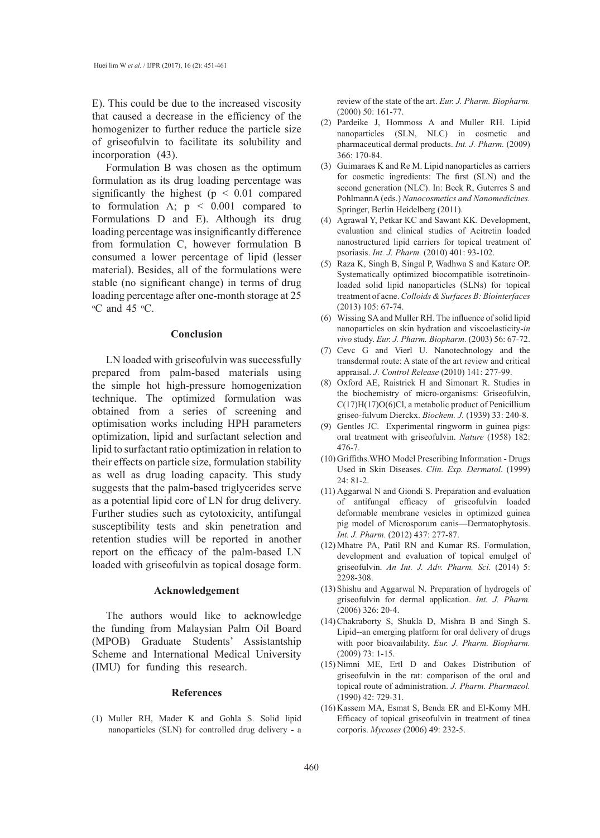E). This could be due to the increased viscosity that caused a decrease in the efficiency of the homogenizer to further reduce the particle size of griseofulvin to facilitate its solubility and incorporation (43).

Formulation B was chosen as the optimum formulation as its drug loading percentage was significantly the highest ( $p < 0.01$  compared to formulation A;  $p \leq 0.001$  compared to Formulations D and E). Although its drug loading percentage was insignificantly difference from formulation C, however formulation B consumed a lower percentage of lipid (lesser material). Besides, all of the formulations were stable (no significant change) in terms of drug loading percentage after one-month storage at 25  $\mathrm{^{\circ}C}$  and 45  $\mathrm{^{\circ}C}$ .

#### **Conclusion**

LN loaded with griseofulvin was successfully prepared from palm-based materials using the simple hot high-pressure homogenization technique. The optimized formulation was obtained from a series of screening and optimisation works including HPH parameters optimization, lipid and surfactant selection and lipid to surfactant ratio optimization in relation to their effects on particle size, formulation stability as well as drug loading capacity. This study suggests that the palm-based triglycerides serve as a potential lipid core of LN for drug delivery. Further studies such as cytotoxicity, antifungal susceptibility tests and skin penetration and retention studies will be reported in another report on the efficacy of the palm-based LN loaded with griseofulvin as topical dosage form.

## **Acknowledgement**

The authors would like to acknowledge the funding from Malaysian Palm Oil Board (MPOB) Graduate Students' Assistantship Scheme and International Medical University (IMU) for funding this research.

#### **References**

(1) Muller RH, Mader K and Gohla S. Solid lipid nanoparticles (SLN) for controlled drug delivery - a review of the state of the art. *Eur. J. Pharm. Biopharm.* (2000) 50: 161-77.

- Pardeike J, Hommoss A and Muller RH. Lipid (2) nanoparticles (SLN, NLC) in cosmetic and pharmaceutical dermal products. *Int. J. Pharm.* (2009) 366: 170-84.
- $(3)$  Guimaraes K and Re M. Lipid nanoparticles as carriers for cosmetic ingredients: The first (SLN) and the second generation (NLC). In: Beck R, Guterres S and PohlmannA (eds.) *Nanocosmetics and Nanomedicines.* Springer, Berlin Heidelberg (2011).
- Agrawal Y, Petkar KC and Sawant KK. Development, (4) evaluation and clinical studies of Acitretin loaded nanostructured lipid carriers for topical treatment of psoriasis. *Int. J. Pharm.* (2010) 401: 93-102.
- (5) Raza K, Singh B, Singal P, Wadhwa S and Katare OP. Systematically optimized biocompatible isotretinoinloaded solid lipid nanoparticles (SLNs) for topical treatment of acne. *Colloids & Surfaces B: Biointerfaces* (2013) 105: 67-74.
- Wissing SA and Muller RH. The influence of solid lipid (6) nanoparticles on skin hydration and viscoelasticity-*in vivo* study. *Eur. J. Pharm. Biopharm.* (2003) 56: 67-72.
- Cevc G and Vierl U. Nanotechnology and the (7) transdermal route: A state of the art review and critical appraisal. *J. Control Release* (2010) 141: 277-99.
- Oxford AE, Raistrick H and Simonart R. Studies in (8) the biochemistry of micro-organisms: Griseofulvin, C(17)H(17)O(6)Cl, a metabolic product of Penicillium griseo-fulvum Dierckx. *Biochem. J.* (1939) 33: 240-8.
- (9) Gentles JC. Experimental ringworm in guinea pigs: oral treatment with griseofulvin. *Nature* (1958) 182: 476-7.
- (10) Griffiths. WHO Model Prescribing Information Drugs Used in Skin Diseases. *Clin. Exp. Dermatol*. (1999)  $24.81 - 2$ .
- $(11)$  Aggarwal N and Giondi S. Preparation and evaluation of antifungal efficacy of griseofulvin loaded deformable membrane vesicles in optimized guinea pig model of Microsporum canis—Dermatophytosis. *Int. J. Pharm.* (2012) 437: 277-87.
- Mhatre PA, Patil RN and Kumar RS. Formulation, (12) development and evaluation of topical emulgel of griseofulvin. *An Int. J. Adv. Pharm. Sci.* (2014) 5: 2298-308.
- (13) Shishu and Aggarwal N. Preparation of hydrogels of griseofulvin for dermal application. *Int. J. Pharm.* (2006) 326: 20-4.
- Chakraborty S, Shukla D, Mishra B and Singh S. (14) Lipid--an emerging platform for oral delivery of drugs with poor bioavailability. *Eur. J. Pharm. Biopharm.*  (2009) 73: 1-15.
- (15) Nimni ME, Ertl D and Oakes Distribution of griseofulvin in the rat: comparison of the oral and topical route of administration. *J. Pharm. Pharmacol.*  (1990) 42: 729-31.
- (16) Kassem MA, Esmat S, Benda ER and El-Komy MH. Efficacy of topical griseofulvin in treatment of tinea corporis. *Mycoses* (2006) 49: 232-5.